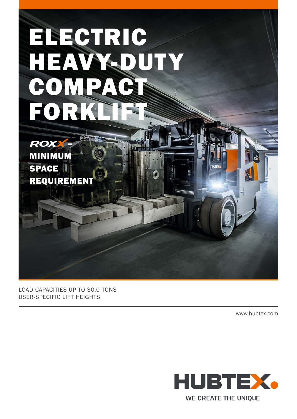# ELECTRIC HEAVY-DUT COMPA FORK

ROX – MINIMUM **SPACE** REQUIREMEN

LOAD CAPACITIES UP TO 30.0 TONS USER-SPECIFIC LIFT HEIGHTS

www.hubtex.com



WE CREATE THE UNIQUE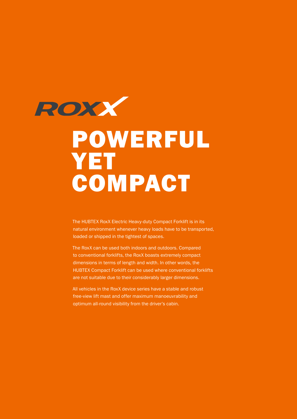

## POWERFUL YET COMPACT

The HUBTEX RoxX Electric Heavy-duty Compact Forklift is in its natural environment whenever heavy loads have to be transported, loaded or shipped in the tightest of spaces.

The RoxX can be used both indoors and outdoors. Compared to conventional forklifts, the RoxX boasts extremely compact dimensions in terms of length and width. In other words, the HUBTEX Compact Forklift can be used where conventional forklifts are not suitable due to their considerably larger dimensions.

All vehicles in the RoxX device series have a stable and robust free-view lift mast and offer maximum manoeuvrability and optimum all-round visibility from the driver's cabin.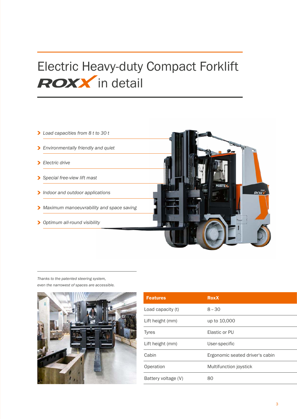## Electric Heavy-duty Compact Forklift **ROXX** in detail

- >> *Load capacities from 8 t to 30 t*
- >> *Environmentally friendly and quiet*
- >> *Electric drive*
- >> *Special free-view lift mast*
- >> *Indoor and outdoor applications*
- >> *Maximum manoeuvrability and space saving*
- >> *Optimum all-round visibility*

*Thanks to the patented steering system, even the narrowest of spaces are accessible.* 



| <b>Features</b>     | <b>RoxX</b>                     |
|---------------------|---------------------------------|
| Load capacity (t)   | $8 - 30$                        |
| Lift height (mm)    | up to 10,000                    |
| <b>Tyres</b>        | Elastic or PU                   |
| Lift height (mm)    | User-specific                   |
| Cabin               | Ergonomic seated driver's cabin |
| Operation           | Multifunction joystick          |
| Battery voltage (V) | 80                              |

**ROXX**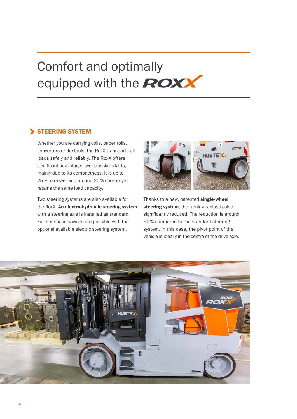## Comfort and optimally equipped with the **ROXX**

#### **STEERING SYSTEM**

Whether you are carrying coils, paper rolls, converters or die tools, the RoxX transports all loads safely and reliably. The RoxX offers significant advantages over classic forklifts, mainly due to its compactness. It is up to 25 % narrower and around 20 % shorter yet retains the same load capacity.

Two steering systems are also available for the RoxX. An electro-hydraulic steering system with a steering axle is installed as standard. Further space savings are possible with the optional available electric steering system.



Thanks to a new, patented single-wheel steering system, the turning radius is also significantly reduced. The reduction is around 50 % compared to the standard steering system. In this case, the pivot point of the vehicle is ideally in the centre of the drive axle.

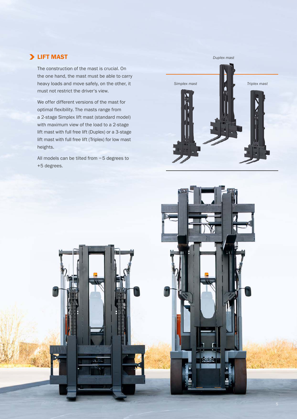#### > LIFT MAST

The construction of the mast is crucial. On the one hand, the mast must be able to carry heavy loads and move safely, on the other, it must not restrict the driver's view.

We offer different versions of the mast for optimal flexibility. The masts range from a 2-stage Simplex lift mast (standard model) with maximum view of the load to a 2-stage lift mast with full free lift (Duplex) or a 3-stage lift mast with full free lift (Triplex) for low mast heights.

All models can be tilted from − 5 degrees to +5 degrees.

51,

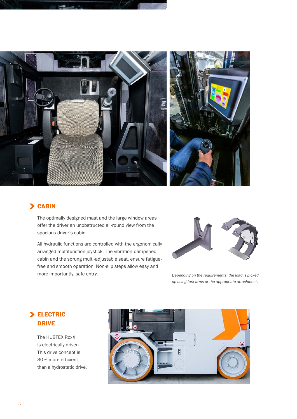

#### > CABIN

The optimally designed mast and the large window areas offer the driver an unobstructed all-round view from the spacious driver's cabin.

All hydraulic functions are controlled with the ergonomically arranged multifunction joystick. The vibration -dampened cabin and the sprung multi-adjustable seat, ensure fatiguefree and smooth operation. Non-slip steps allow easy and more importantly, safe entry. *Depending on the requirements, the load is picked* 



*up using fork arms or the appropriate attachment.*

#### > ELECTRIC DRIVE

The HUBTEX RoxX is electrically driven. This drive concept is 30 % more efficient than a hydrostatic drive.

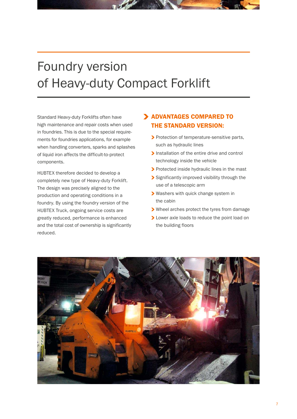### Foundry version of Heavy-duty Compact Forklift

Standard Heavy-duty Forklifts often have high maintenance and repair costs when used in foundries. This is due to the special requirements for foundries applications, for example when handling converters, sparks and splashes of liquid iron affects the difficult-to-protect components.

HUBTEX therefore decided to develop a completely new type of Heavy-duty Forklift. The design was precisely aligned to the production and operating conditions in a foundry. By using the foundry version of the HUBTEX Truck, ongoing service costs are greatly reduced, performance is enhanced and the total cost of ownership is significantly reduced.

#### > ADVANTAGES COMPARED TO THE STANDARD VERSION:

- > Protection of temperature-sensitive parts, such as hydraulic lines
- > Installation of the entire drive and control technology inside the vehicle
- > Protected inside hydraulic lines in the mast
- > Significantly improved visibility through the use of a telescopic arm
- >> Washers with quick change system in the cabin
- >> Wheel arches protect the tyres from damage
- > Lower axle loads to reduce the point load on the building floors